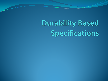# **Durability Based** Specifications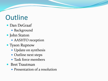### **Outline**

- Dan DeGraaf
	- Background
- John Staton
	- AASHTO reception
- Tyson Rupnow
	- Update on synthesis
	- Outline next steps
	- Task force members
- Bret Trautman
	- Presentation of a resolution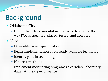# Background

#### • Oklahoma City

• Noted that a fundamental need existed to change the way PCC is specified, placed, tested, and accepted

#### • Need

- Durability based specification
- Begin implementation of currently available technology
- Identify gaps in technology
- New test methods
- Implement monitoring programs to correlate laboratory data with field performance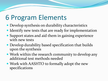### 6 Program Elements

- Develop synthesis on durability characteristics
- Identify new tests that are ready for implementation
- Support states and aid them in gaining experience with new tests
- Develop durability based specification that builds upon the synthesis
- Work within the research community to develop any additional test methods needed
- Work with AASHTO to formally adopt the new specifications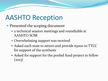## AASHTO Reception

- Presented the scoping document
	- 2 technical session meetings and roundtable at AASHTO SOM
	- Overwhelming support was received
	- Asked each state to return and provide \$3000 to TTCC for support of the synthesis
	- Asked for support for the pooled fund project to follow  $(2013)$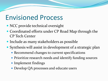#### Envisioned Process

- NCC provide technical oversight
- Coordinated efforts under CP Road Map through the CP Tech Center
- Include as many stakeholders as possible
- Synthesis will assist in development of a strategic plan
	- Recommend changes to current specifications
	- Prioritize research needs and identify funding sources
	- Implement findings
	- Develop QA processes and educate users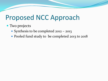#### Proposed NCC Approach

#### • Two projects

- Synthesis to be completed 2012 2013
- Pooled fund study to be completed 2013 to 2018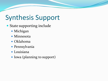# Synthesis Support

- State supporting include
	- Michigan
	- Minnesota
	- Oklahoma
	- Pennsylvania
	- Louisiana
	- Iowa (planning to support)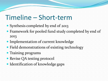#### Timeline – Short-term

- Synthesis completed by end of 2013
- Framework for pooled fund study completed by end of 2013
- Implementation of current knowledge
- Field demonstrations of existing technology
- Training programs
- Revise QA testing protocol
- Identification of knowledge gaps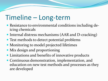### Timeline – Long-term

- Resistance to environmental conditions including deicing chemicals
- Internal distress mechanisms (AAR and D-cracking)
- Test methods to detect potential problems
- Monitoring to model projected lifetimes
- Mix design and proportioning
- Limitations and benefits of innovative products
- Continuous demonstration, implementation, and education on new test methods and processes as they are developed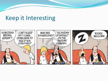#### Keep it Interesting

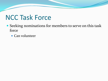### NCC Task Force

- Seeking nominations for members to serve on this task force
	- Can volunteer